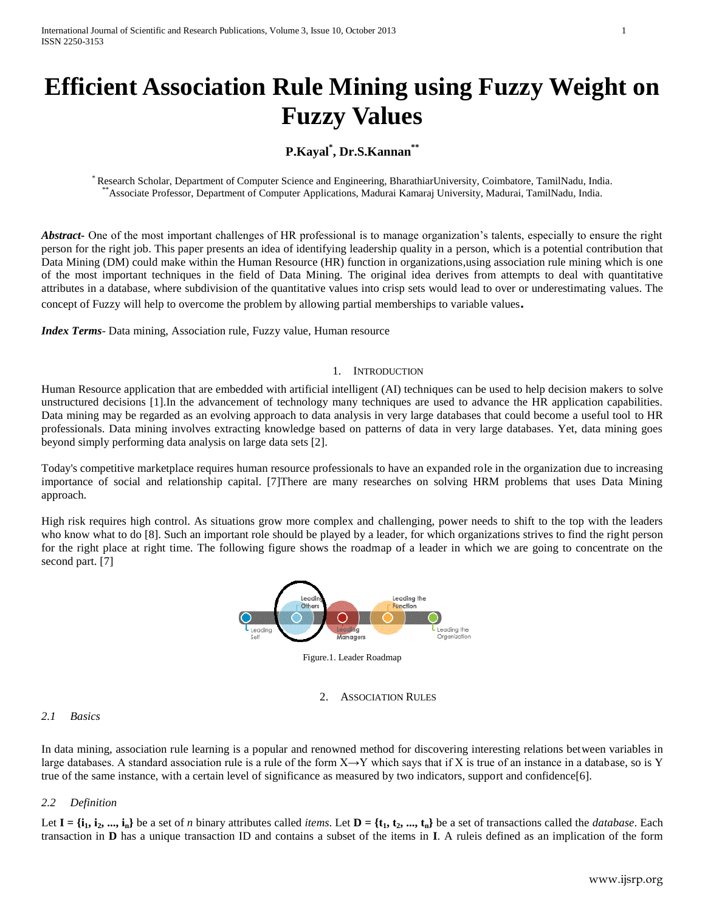# **Efficient Association Rule Mining using Fuzzy Weight on Fuzzy Values**

# **P.Kayal\* , Dr.S.Kannan\*\***

\* Research Scholar, Department of Computer Science and Engineering, BharathiarUniversity, Coimbatore, TamilNadu, India. \*\*Associate Professor, Department of Computer Applications, Madurai Kamaraj University, Madurai, TamilNadu, India.

*Abstract* One of the most important challenges of HR professional is to manage organization's talents, especially to ensure the right person for the right job. This paper presents an idea of identifying leadership quality in a person, which is a potential contribution that Data Mining (DM) could make within the Human Resource (HR) function in organizations,using association rule mining which is one of the most important techniques in the field of Data Mining. The original idea derives from attempts to deal with quantitative attributes in a database, where subdivision of the quantitative values into crisp sets would lead to over or underestimating values. The concept of Fuzzy will help to overcome the problem by allowing partial memberships to variable values**.**

*Index Terms*- Data mining, Association rule, Fuzzy value, Human resource

## 1. INTRODUCTION

Human Resource application that are embedded with artificial intelligent (AI) techniques can be used to help decision makers to solve unstructured decisions [1].In the advancement of technology many techniques are used to advance the HR application capabilities. Data mining may be regarded as an evolving approach to data analysis in very large databases that could become a useful tool to HR professionals. Data mining involves extracting knowledge based on patterns of data in very large databases. Yet, data mining goes beyond simply performing data analysis on large data sets [2].

Today's competitive marketplace requires human resource professionals to have an expanded role in the organization due to increasing importance of social and relationship capital. [7]There are many researches on solving HRM problems that uses Data Mining approach.

High risk requires high control. As situations grow more complex and challenging, power needs to shift to the top with the leaders who know what to do [8]. Such an important role should be played by a leader, for which organizations strives to find the right person for the right place at right time. The following figure shows the roadmap of a leader in which we are going to concentrate on the second part. [7]



Figure.1. Leader Roadmap

2. ASSOCIATION RULES

# *2.1 Basics*

In data mining, association rule learning is a popular and renowned method for discovering interesting relations between variables in large databases. A standard association rule is a rule of the form  $X \rightarrow Y$  which says that if X is true of an instance in a database, so is Y true of the same instance, with a certain level of significance as measured by two indicators, support and confidence[6].

# *2.2 Definition*

Let  $I = \{i_1, i_2, ..., i_n\}$  be a set of *n* binary attributes called *items*. Let  $D = \{t_1, t_2, ..., t_n\}$  be a set of transactions called the *database*. Each transaction in **D** has a unique transaction ID and contains a subset of the items in **I**. A ruleis defined as an implication of the form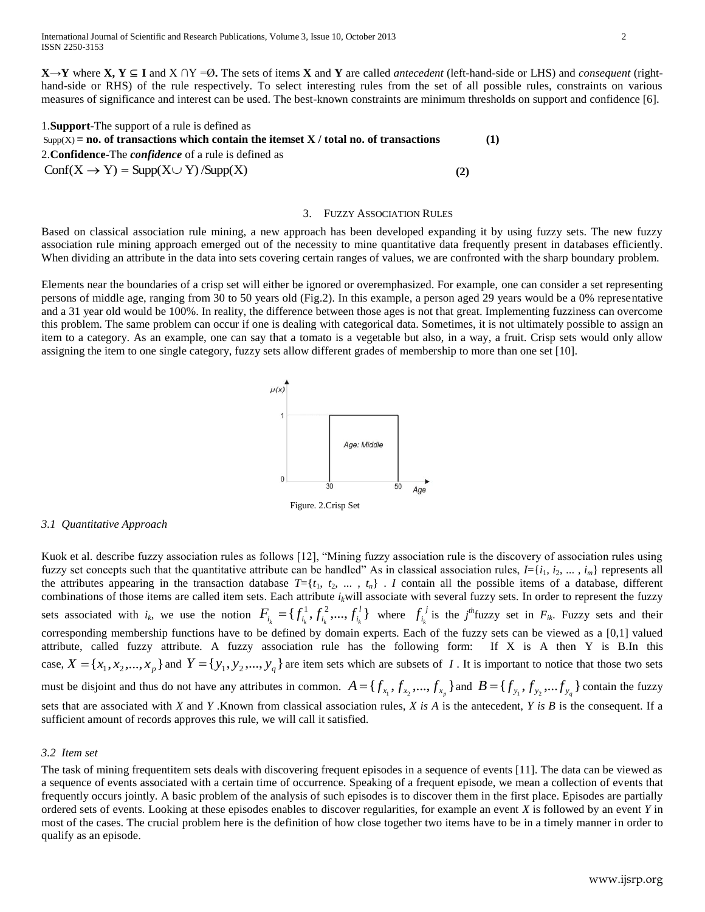**X**→**Y** where **X, Y** ⊆ **I** and X ∩Y =Ø**.** The sets of items **X** and **Y** are called *antecedent* (left-hand-side or LHS) and *consequent* (righthand-side or RHS) of the rule respectively. To select interesting rules from the set of all possible rules, constraints on various measures of significance and interest can be used. The best-known constraints are minimum thresholds on support and confidence [6].

| 1. <b>Support</b> -The support of a rule is defined as                                 |     |     |
|----------------------------------------------------------------------------------------|-----|-----|
| $Supp(X) = no$ of transactions which contain the itemset X / total no. of transactions |     | (1) |
| 2. <b>Confidence</b> -The <i>confidence</i> of a rule is defined as                    |     |     |
| $\text{Conf}(X \to Y) = \text{Supp}(X \cup Y) / \text{Supp}(X)$                        | (2) |     |

#### 3. FUZZY ASSOCIATION RULES

Based on classical association rule mining, a new approach has been developed expanding it by using fuzzy sets. The new fuzzy association rule mining approach emerged out of the necessity to mine quantitative data frequently present in databases efficiently. When dividing an attribute in the data into sets covering certain ranges of values, we are confronted with the sharp boundary problem.

Elements near the boundaries of a crisp set will either be ignored or overemphasized. For example, one can consider a set representing persons of middle age, ranging from 30 to 50 years old (Fig.2). In this example, a person aged 29 years would be a 0% representative and a 31 year old would be 100%. In reality, the difference between those ages is not that great. Implementing fuzziness can overcome this problem. The same problem can occur if one is dealing with categorical data. Sometimes, it is not ultimately possible to assign an item to a category. As an example, one can say that a tomato is a vegetable but also, in a way, a fruit. Crisp sets would only allow assigning the item to one single category, fuzzy sets allow different grades of membership to more than one set [10].



# *3.1 Quantitative Approach*

Kuok et al. describe fuzzy association rules as follows [12], "Mining fuzzy association rule is the discovery of association rules using fuzzy set concepts such that the quantitative attribute can be handled" As in classical association rules,  $I = \{i_1, i_2, ..., i_m\}$  represents all the attributes appearing in the transaction database  $T = \{t_1, t_2, ..., t_n\}$ . *I* contain all the possible items of a database, different combinations of those items are called item sets. Each attribute  $i_k$ will associate with several fuzzy sets. In order to represent the fuzzy sets associated with  $i_k$ , we use the notion  $F_i = \{f_i^1, f_i^2, ..., f_i^l\}$  $F_{i_k} = \{f_{i_k}^1, f_{i_k}^2, ..., f_{i_k}^l\}$  where  $f_{i_k}^j$  $f_{i_k}^j$  is the *j*<sup>th</sup>fuzzy set in  $F_{ik}$ . Fuzzy sets and their corresponding membership functions have to be defined by domain experts. Each of the fuzzy sets can be viewed as a [0,1] valued attribute, called fuzzy attribute. A fuzzy association rule has the following form: If X is A then Y is B.In this case,  $X = \{x_1, x_2,...,x_p\}$  and  $Y = \{y_1, y_2,...,y_q\}$  are item sets which are subsets of I. It is important to notice that those two sets must be disjoint and thus do not have any attributes in common.  $A = \{f_{x_1}, f_{x_2},..., f_{x_p}\}\$ and  $B = \{f_{y_1}, f_{y_2},...f_{y_q}\}\$ contain the fuzzy sets that are associated with *X* and *Y* .Known from classical association rules, *X is A* is the antecedent, *Y is B* is the consequent. If a sufficient amount of records approves this rule, we will call it satisfied.

#### *3.2 Item set*

The task of mining frequentitem sets deals with discovering frequent episodes in a sequence of events [11]. The data can be viewed as a sequence of events associated with a certain time of occurrence. Speaking of a frequent episode, we mean a collection of events that frequently occurs jointly. A basic problem of the analysis of such episodes is to discover them in the first place. Episodes are partially ordered sets of events. Looking at these episodes enables to discover regularities, for example an event *X* is followed by an event *Y* in most of the cases. The crucial problem here is the definition of how close together two items have to be in a timely manner in order to qualify as an episode.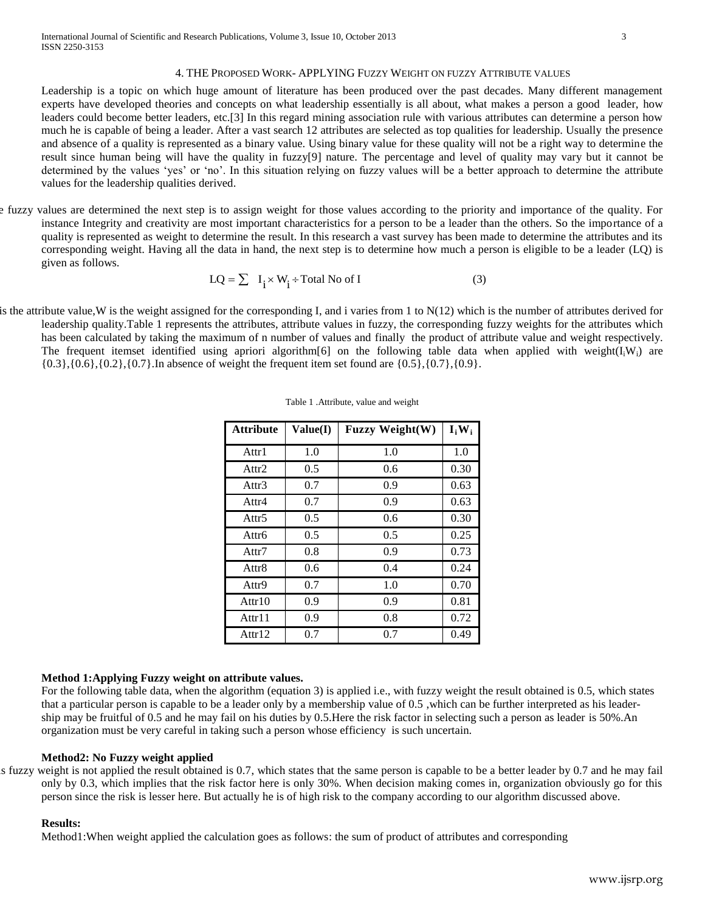#### 4. THE PROPOSED WORK- APPLYING FUZZY WEIGHT ON FUZZY ATTRIBUTE VALUES

Leadership is a topic on which huge amount of literature has been produced over the past decades. Many different management experts have developed theories and concepts on what leadership essentially is all about, what makes a person a good leader, how leaders could become better leaders, etc.[3] In this regard mining association rule with various attributes can determine a person how much he is capable of being a leader. After a vast search 12 attributes are selected as top qualities for leadership. Usually the presence and absence of a quality is represented as a binary value. Using binary value for these quality will not be a right way to determine the result since human being will have the quality in fuzzy[9] nature. The percentage and level of quality may vary but it cannot be determined by the values 'yes' or 'no'. In this situation relying on fuzzy values will be a better approach to determine the attribute values for the leadership qualities derived.

e fuzzy values are determined the next step is to assign weight for those values according to the priority and importance of the quality. For instance Integrity and creativity are most important characteristics for a person to be a leader than the others. So the importance of a quality is represented as weight to determine the result. In this research a vast survey has been made to determine the attributes and its corresponding weight. Having all the data in hand, the next step is to determine how much a person is eligible to be a leader (LQ) is given as follows.

$$
LQ = \sum I_i \times W_i + \text{Total No of I} \tag{3}
$$

is the attribute value, W is the weight assigned for the corresponding I, and i varies from 1 to  $N(12)$  which is the number of attributes derived for leadership quality.Table 1 represents the attributes, attribute values in fuzzy, the corresponding fuzzy weights for the attributes which has been calculated by taking the maximum of n number of values and finally the product of attribute value and weight respectively. The frequent itemset identified using apriori algorithm[6] on the following table data when applied with weight( $I_iW_i$ ) are {0.3},{0.6},{0.2},{0.7}.In absence of weight the frequent item set found are {0.5},{0.7},{0.9}.

| <b>Attribute</b>  | Value(I) | <b>Fuzzy Weight(W)</b> | $I_iW_i$ |
|-------------------|----------|------------------------|----------|
| Attr1             | 1.0      | 1.0                    | 1.0      |
| Attr <sub>2</sub> | 0.5      | 0.6                    | 0.30     |
| Attr3             | 0.7      | 0.9                    | 0.63     |
| Attr4             | 0.7      | 0.9                    | 0.63     |
| Attr <sub>5</sub> | 0.5      | 0.6                    | 0.30     |
| Attr6             | 0.5      | 0.5                    | 0.25     |
| Attr7             | 0.8      | 0.9                    | 0.73     |
| Attr <sub>8</sub> | 0.6      | 0.4                    | 0.24     |
| Attr9             | 0.7      | 1.0                    | 0.70     |
| Attr10            | 0.9      | 0.9                    | 0.81     |
| Attr11            | 0.9      | 0.8                    | 0.72     |
| Attr $12$         | 0.7      | 0.7                    | 0.49     |

Table 1 .Attribute, value and weight

# **Method 1:Applying Fuzzy weight on attribute values.**

For the following table data, when the algorithm (equation 3) is applied i.e., with fuzzy weight the result obtained is 0.5, which states that a particular person is capable to be a leader only by a membership value of 0.5 ,which can be further interpreted as his leadership may be fruitful of 0.5 and he may fail on his duties by 0.5.Here the risk factor in selecting such a person as leader is 50%.An organization must be very careful in taking such a person whose efficiency is such uncertain.

#### **Method2: No Fuzzy weight applied**

is fuzzy weight is not applied the result obtained is  $0.7$ , which states that the same person is capable to be a better leader by  $0.7$  and he may fail only by 0.3, which implies that the risk factor here is only 30%. When decision making comes in, organization obviously go for this person since the risk is lesser here. But actually he is of high risk to the company according to our algorithm discussed above.

#### **Results:**

Method1:When weight applied the calculation goes as follows: the sum of product of attributes and corresponding